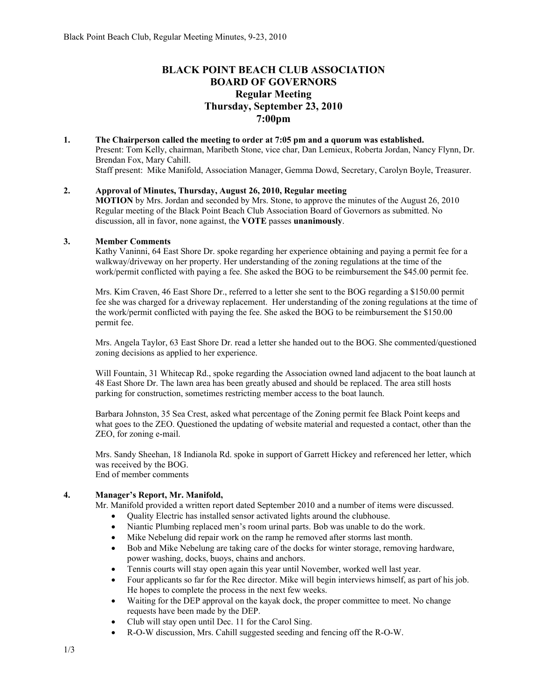# **BLACK POINT BEACH CLUB ASSOCIATION BOARD OF GOVERNORS Regular Meeting Thursday, September 23, 2010 7:00pm**

**1. The Chairperson called the meeting to order at 7:05 pm and a quorum was established.**  Present: Tom Kelly, chairman, Maribeth Stone, vice char, Dan Lemieux, Roberta Jordan, Nancy Flynn, Dr. Brendan Fox, Mary Cahill. Staff present: Mike Manifold, Association Manager, Gemma Dowd, Secretary, Carolyn Boyle, Treasurer.

# **2. Approval of Minutes, Thursday, August 26, 2010, Regular meeting**

**MOTION** by Mrs. Jordan and seconded by Mrs. Stone, to approve the minutes of the August 26, 2010 Regular meeting of the Black Point Beach Club Association Board of Governors as submitted. No discussion, all in favor, none against, the **VOTE** passes **unanimously**.

### **3. Member Comments**

Kathy Vaninni, 64 East Shore Dr. spoke regarding her experience obtaining and paying a permit fee for a walkway/driveway on her property. Her understanding of the zoning regulations at the time of the work/permit conflicted with paying a fee. She asked the BOG to be reimbursement the \$45.00 permit fee.

Mrs. Kim Craven, 46 East Shore Dr., referred to a letter she sent to the BOG regarding a \$150.00 permit fee she was charged for a driveway replacement. Her understanding of the zoning regulations at the time of the work/permit conflicted with paying the fee. She asked the BOG to be reimbursement the \$150.00 permit fee.

Mrs. Angela Taylor, 63 East Shore Dr. read a letter she handed out to the BOG. She commented/questioned zoning decisions as applied to her experience.

Will Fountain, 31 Whitecap Rd., spoke regarding the Association owned land adjacent to the boat launch at 48 East Shore Dr. The lawn area has been greatly abused and should be replaced. The area still hosts parking for construction, sometimes restricting member access to the boat launch.

Barbara Johnston, 35 Sea Crest, asked what percentage of the Zoning permit fee Black Point keeps and what goes to the ZEO. Questioned the updating of website material and requested a contact, other than the ZEO, for zoning e-mail.

Mrs. Sandy Sheehan, 18 Indianola Rd. spoke in support of Garrett Hickey and referenced her letter, which was received by the BOG. End of member comments

# **4. Manager's Report, Mr. Manifold,**

Mr. Manifold provided a written report dated September 2010 and a number of items were discussed.

- Quality Electric has installed sensor activated lights around the clubhouse.
- Niantic Plumbing replaced men's room urinal parts. Bob was unable to do the work.
- Mike Nebelung did repair work on the ramp he removed after storms last month.
- Bob and Mike Nebelung are taking care of the docks for winter storage, removing hardware, power washing, docks, buoys, chains and anchors.
- Tennis courts will stay open again this year until November, worked well last year.
- Four applicants so far for the Rec director. Mike will begin interviews himself, as part of his job. He hopes to complete the process in the next few weeks.
- Waiting for the DEP approval on the kayak dock, the proper committee to meet. No change requests have been made by the DEP.
- Club will stay open until Dec. 11 for the Carol Sing.
- R-O-W discussion, Mrs. Cahill suggested seeding and fencing off the R-O-W.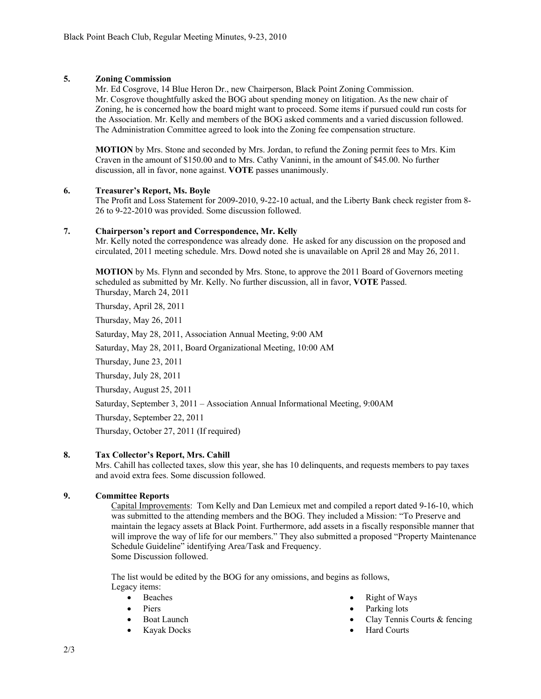# **5. Zoning Commission**

 Mr. Ed Cosgrove, 14 Blue Heron Dr., new Chairperson, Black Point Zoning Commission. Mr. Cosgrove thoughtfully asked the BOG about spending money on litigation. As the new chair of Zoning, he is concerned how the board might want to proceed. Some items if pursued could run costs for the Association. Mr. Kelly and members of the BOG asked comments and a varied discussion followed. The Administration Committee agreed to look into the Zoning fee compensation structure.

**MOTION** by Mrs. Stone and seconded by Mrs. Jordan, to refund the Zoning permit fees to Mrs. Kim Craven in the amount of \$150.00 and to Mrs. Cathy Vaninni, in the amount of \$45.00. No further discussion, all in favor, none against. **VOTE** passes unanimously.

### **6. Treasurer's Report, Ms. Boyle**

The Profit and Loss Statement for 2009-2010, 9-22-10 actual, and the Liberty Bank check register from 8- 26 to 9-22-2010 was provided. Some discussion followed.

### **7. Chairperson's report and Correspondence, Mr. Kelly**

Mr. Kelly noted the correspondence was already done. He asked for any discussion on the proposed and circulated, 2011 meeting schedule. Mrs. Dowd noted she is unavailable on April 28 and May 26, 2011.

**MOTION** by Ms. Flynn and seconded by Mrs. Stone, to approve the 2011 Board of Governors meeting scheduled as submitted by Mr. Kelly. No further discussion, all in favor, **VOTE** Passed. Thursday, March 24, 2011

Thursday, April 28, 2011

Thursday, May 26, 2011

Saturday, May 28, 2011, Association Annual Meeting, 9:00 AM

Saturday, May 28, 2011, Board Organizational Meeting, 10:00 AM

Thursday, June 23, 2011

Thursday, July 28, 2011

Thursday, August 25, 2011

Saturday, September 3, 2011 – Association Annual Informational Meeting, 9:00AM

Thursday, September 22, 2011

Thursday, October 27, 2011 (If required)

# **8. Tax Collector's Report, Mrs. Cahill**

Mrs. Cahill has collected taxes, slow this year, she has 10 delinquents, and requests members to pay taxes and avoid extra fees. Some discussion followed.

# **9. Committee Reports**

Capital Improvements: Tom Kelly and Dan Lemieux met and compiled a report dated 9-16-10, which was submitted to the attending members and the BOG. They included a Mission: "To Preserve and maintain the legacy assets at Black Point. Furthermore, add assets in a fiscally responsible manner that will improve the way of life for our members." They also submitted a proposed "Property Maintenance Schedule Guideline" identifying Area/Task and Frequency. Some Discussion followed.

The list would be edited by the BOG for any omissions, and begins as follows, Legacy items:

- Beaches
- Piers
- **Boat Launch**
- Kayak Docks
- Right of Ways
- Parking lots
- Clay Tennis Courts & fencing
- Hard Courts